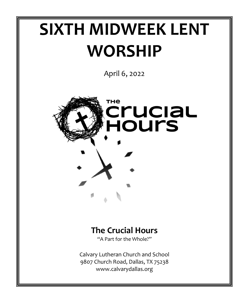# **SIXTH MIDWEEK LENT WORSHIP**

April 6, 2022



# **The Crucial Hours**

"A Part for the Whole?"

Calvary Lutheran Church and School 9807 Church Road, Dallas, TX 75238 www.calvarydallas.org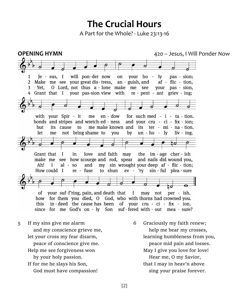# **The Crucial Hours**

A Part for the Whole? - Luke 23:13-16

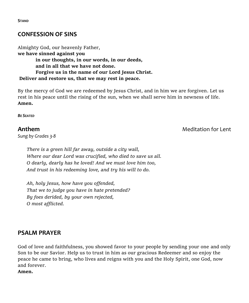### **CONFESSION OF SINS**

Almighty God, our heavenly Father, **we have sinned against you in our thoughts, in our words, in our deeds, and in all that we have not done. Forgive us in the name of our Lord Jesus Christ. Deliver and restore us, that we may rest in peace.** 

By the mercy of God we are redeemed by Jesus Christ, and in him we are forgiven. Let us rest in his peace until the rising of the sun, when we shall serve him in newness of life. **Amen.** 

*BE SEATED*

*Sung by Grades 3-8*

**Anthem** Meditation for Lent

*There is a green hill far away, outside a city wall, Where our dear Lord was crucified, who died to save us all. O dearly, dearly has he loved! And we must love him too, And trust in his redeeming love, and try his will to do.*

*Ah, holy Jesus, how have you offended, That we to judge you have in hate pretended? By foes derided, by your own rejected, O most afflicted.*

#### **PSALM PRAYER**

God of love and faithfulness, you showed favor to your people by sending your one and only Son to be our Savior. Help us to trust in him as our gracious Redeemer and so enjoy the peace he came to bring, who lives and reigns with you and the Holy Spirit, one God, now and forever.

**Amen.**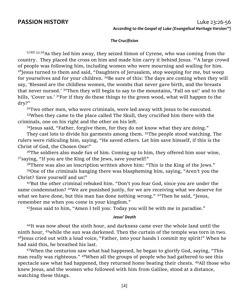#### *The Crucifixion*

LUKE 23:26 As they led him away, they seized Simon of Cyrene, who was coming from the country. They placed the cross on him and made him carry it behind Jesus.  $27A$  large crowd of people was following him, including women who were mourning and wailing for him.  $28$ Jesus turned to them and said, "Daughters of Jerusalem, stop weeping for me, but weep for yourselves and for your children.  $^{29}$ Be sure of this: The days are coming when they will say, 'Blessed are the childless women, the wombs that never gave birth, and the breasts that never nursed.' <sup>30</sup>Then they will begin to say to the mountains, 'Fall on us!' and to the hills, 'Cover us.' <sup>31</sup>For if they do these things to the green wood, what will happen to the dry?"

 $32$ Two other men, who were criminals, were led away with Jesus to be executed.

<sup>33</sup>When they came to the place called The Skull, they crucified him there with the criminals, one on his right and the other on his left.

 $34$  Jesus said, "Father, forgive them, for they do not know what they are doing."

They cast lots to divide his garments among them. <sup>35</sup>The people stood watching. The rulers were ridiculing him, saying, "He saved others. Let him save himself, if this is the Christ of God, the Chosen One!"

 $36$ The soldiers also made fun of him. Coming up to him, they offered him sour wine, <sup>37</sup>saying, "If you are the King of the Jews, save yourself!"

<sup>38</sup>There was also an inscription written above him: "This is the King of the Jews."

<sup>39</sup>One of the criminals hanging there was blaspheming him, saying, "Aren't you the Christ? Save yourself and us!"

 $40B$ ut the other criminal rebuked him. "Don't you fear God, since you are under the same condemnation? <sup>41</sup>We are punished justly, for we are receiving what we deserve for what we have done, but this man has done nothing wrong."  $4^{2}$ Then he said, "Jesus, remember me when you come in your kingdom."

<sup>43</sup>Jesus said to him, "Amen I tell you: Today you will be with me in paradise."

#### *Jesus' Death*

<sup>44</sup>It was now about the sixth hour, and darkness came over the whole land until the ninth hour, <sup>45</sup>while the sun was darkened. Then the curtain of the temple was torn in two.  $46$ Jesus cried out with a loud voice, "Father, into your hands I commit my spirit!" When he had said this, he breathed his last.

 $47$ When the centurion saw what had happened, he began to glorify God, saying, "This man really was righteous." <sup>48</sup>When all the groups of people who had gathered to see this spectacle saw what had happened, they returned home beating their chests. <sup>49</sup>All those who knew Jesus, and the women who followed with him from Galilee, stood at a distance, watching these things.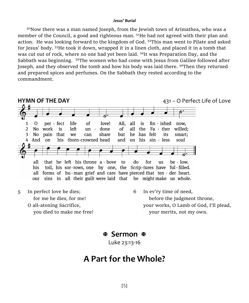#### *Jesus' Burial*

<sup>50</sup>Now there was a man named Joseph, from the Jewish town of Arimathea, who was a member of the Council, a good and righteous man. <sup>51</sup>He had not agreed with their plan and action. He was looking forward to the kingdom of God.  $52$ This man went to Pilate and asked for Jesus' body. <sup>53</sup>He took it down, wrapped it in a linen cloth, and placed it in a tomb that was cut out of rock, where no one had yet been laid. <sup>54</sup>It was Preparation Day, and the Sabbath was beginning. <sup>55</sup>The women who had come with Jesus from Galilee followed after Joseph, and they observed the tomb and how his body was laid there.  $56$ Then they returned and prepared spices and perfumes. On the Sabbath they rested according to the commandment.



O all-atoning Sacrifice, you died to make me free!

 before the judgment throne, your works, O Lamb of God, I'll plead, your merits, not my own.

 **Sermon** 

Luke 23:13-16

## **A Part for the Whole?**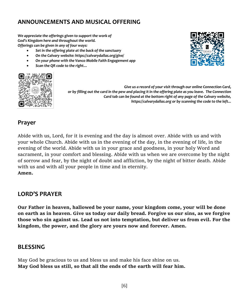## **ANNOUNCEMENTS AND MUSICAL OFFERING**

*We appreciate the offerings given to support the work of God's Kingdom here and throughout the world. Offerings can be given in any of four ways:*

- *Set in the offering plate at the back of the sanctuary*
- *On the Calvary website: https://calvarydallas.org/give/*
- *On your phone with the Vanco Mobile Faith Engagement app*
- *Scan the QR code to the right…*



*Give us a record of your visit through our online Connection Card, or by filling out the card in the pew and placing it in the offering plate as you leave. The Connection Card tab can be found at the bottom right of any page of the Calvary website, https://calvarydallas.org or by scanning the code to the left...*

#### **Prayer**

Abide with us, Lord, for it is evening and the day is almost over. Abide with us and with your whole Church. Abide with us in the evening of the day, in the evening of life, in the evening of the world. Abide with us in your grace and goodness, in your holy Word and sacrament, in your comfort and blessing. Abide with us when we are overcome by the night of sorrow and fear, by the night of doubt and affliction, by the night of bitter death. Abide with us and with all your people in time and in eternity. **Amen.** 

#### **LORD'S PRAYER**

**Our Father in heaven, hallowed be your name, your kingdom come, your will be done on earth as in heaven. Give us today our daily bread. Forgive us our sins, as we forgive those who sin against us. Lead us not into temptation, but deliver us from evil. For the kingdom, the power, and the glory are yours now and forever. Amen.**

#### **BLESSING**

May God be gracious to us and bless us and make his face shine on us. **May God bless us still, so that all the ends of the earth will fear him.**

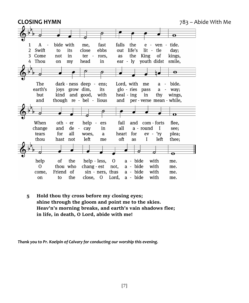

**5 Hold thou thy cross before my closing eyes; shine through the gloom and point me to the skies. Heav'n's morning breaks, and earth's vain shadows flee; in life, in death, O Lord, abide with me!**

*Thank you to Pr. Koelpin of Calvary for conducting our worship this evening.*